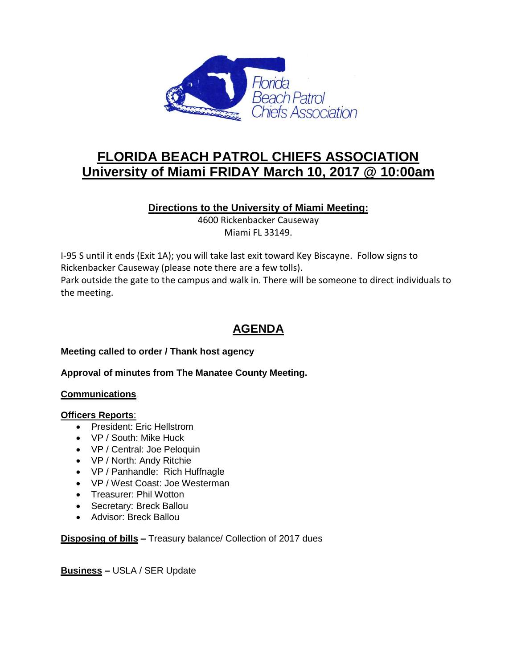

# **FLORIDA BEACH PATROL CHIEFS ASSOCIATION University of Miami FRIDAY March 10, 2017 @ 10:00am**

## **Directions to the University of Miami Meeting:**

4600 Rickenbacker Causeway Miami FL 33149.

I-95 S until it ends (Exit 1A); you will take last exit toward Key Biscayne. Follow signs to Rickenbacker Causeway (please note there are a few tolls). Park outside the gate to the campus and walk in. There will be someone to direct individuals to the meeting.

## **AGENDA**

## **Meeting called to order / Thank host agency**

#### **Approval of minutes from The Manatee County Meeting.**

#### **Communications**

#### **Officers Reports**:

- President: Eric Hellstrom
- VP / South: Mike Huck
- VP / Central: Joe Peloquin
- VP / North: Andy Ritchie
- VP / Panhandle: Rich Huffnagle
- VP / West Coast: Joe Westerman
- Treasurer: Phil Wotton
- Secretary: Breck Ballou
- Advisor: Breck Ballou

## **Disposing of bills –** Treasury balance/ Collection of 2017 dues

**Business –** USLA / SER Update